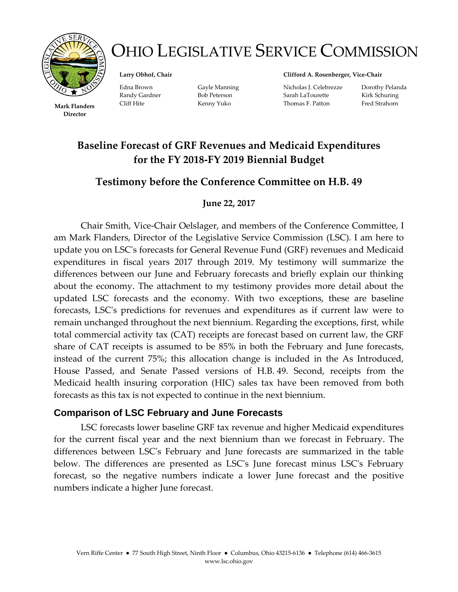

# OHIO LEGISLATIVE SERVICE COMMISSION

**Larry Obhof, Chair**

**Mark Flanders** Thomas F. Patton Fred Strahorn **Director**

Edna Brown Gayle Manning Randy Gardner Bob Peterson Cliff Hite Kenny Yuko

**Clifford A. Rosenberger, Vice-Chair**

Nicholas J. Celebrezze Dorothy Pelanda Sarah LaTourette Kirk Schuring

## **Baseline Forecast of GRF Revenues and Medicaid Expenditures for the FY 2018-FY 2019 Biennial Budget**

## **Testimony before the Conference Committee on H.B. 49**

#### **June 22, 2017**

Chair Smith, Vice-Chair Oelslager, and members of the Conference Committee, I am Mark Flanders, Director of the Legislative Service Commission (LSC). I am here to update you on LSC's forecasts for General Revenue Fund (GRF) revenues and Medicaid expenditures in fiscal years 2017 through 2019. My testimony will summarize the differences between our June and February forecasts and briefly explain our thinking about the economy. The attachment to my testimony provides more detail about the updated LSC forecasts and the economy. With two exceptions, these are baseline forecasts, LSC's predictions for revenues and expenditures as if current law were to remain unchanged throughout the next biennium. Regarding the exceptions, first, while total commercial activity tax (CAT) receipts are forecast based on current law, the GRF share of CAT receipts is assumed to be 85% in both the February and June forecasts, instead of the current 75%; this allocation change is included in the As Introduced, House Passed, and Senate Passed versions of H.B. 49. Second, receipts from the Medicaid health insuring corporation (HIC) sales tax have been removed from both forecasts as this tax is not expected to continue in the next biennium.

#### **Comparison of LSC February and June Forecasts**

LSC forecasts lower baseline GRF tax revenue and higher Medicaid expenditures for the current fiscal year and the next biennium than we forecast in February. The differences between LSC's February and June forecasts are summarized in the table below. The differences are presented as LSC's June forecast minus LSC's February forecast, so the negative numbers indicate a lower June forecast and the positive numbers indicate a higher June forecast.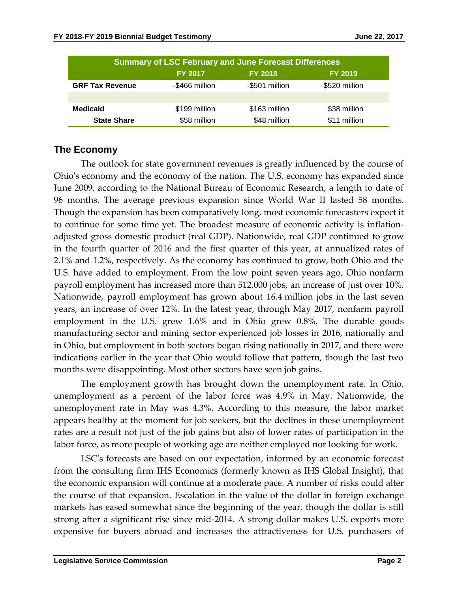|                        | <b>Summary of LSC February and June Forecast Differences</b> |                |                |
|------------------------|--------------------------------------------------------------|----------------|----------------|
|                        | <b>FY 2017</b>                                               | <b>FY 2018</b> | <b>FY 2019</b> |
| <b>GRF Tax Revenue</b> | -\$466 million                                               | -\$501 million | -\$520 million |
|                        |                                                              |                |                |
| <b>Medicaid</b>        | \$199 million                                                | \$163 million  | \$38 million   |
| <b>State Share</b>     | \$58 million                                                 | \$48 million   | \$11 million   |

#### **The Economy**

The outlook for state government revenues is greatly influenced by the course of Ohio's economy and the economy of the nation. The U.S. economy has expanded since June 2009, according to the National Bureau of Economic Research, a length to date of 96 months. The average previous expansion since World War II lasted 58 months. Though the expansion has been comparatively long, most economic forecasters expect it to continue for some time yet. The broadest measure of economic activity is inflationadjusted gross domestic product (real GDP). Nationwide, real GDP continued to grow in the fourth quarter of 2016 and the first quarter of this year, at annualized rates of 2.1% and 1.2%, respectively. As the economy has continued to grow, both Ohio and the U.S. have added to employment. From the low point seven years ago, Ohio nonfarm payroll employment has increased more than 512,000 jobs, an increase of just over 10%. Nationwide, payroll employment has grown about 16.4 million jobs in the last seven years, an increase of over 12%. In the latest year, through May 2017, nonfarm payroll employment in the U.S. grew 1.6% and in Ohio grew 0.8%. The durable goods manufacturing sector and mining sector experienced job losses in 2016, nationally and in Ohio, but employment in both sectors began rising nationally in 2017, and there were indications earlier in the year that Ohio would follow that pattern, though the last two months were disappointing. Most other sectors have seen job gains.

The employment growth has brought down the unemployment rate. In Ohio, unemployment as a percent of the labor force was 4.9% in May. Nationwide, the unemployment rate in May was 4.3%. According to this measure, the labor market appears healthy at the moment for job seekers, but the declines in these unemployment rates are a result not just of the job gains but also of lower rates of participation in the labor force, as more people of working age are neither employed nor looking for work.

LSC's forecasts are based on our expectation, informed by an economic forecast from the consulting firm IHS Economics (formerly known as IHS Global Insight), that the economic expansion will continue at a moderate pace. A number of risks could alter the course of that expansion. Escalation in the value of the dollar in foreign exchange markets has eased somewhat since the beginning of the year, though the dollar is still strong after a significant rise since mid-2014. A strong dollar makes U.S. exports more expensive for buyers abroad and increases the attractiveness for U.S. purchasers of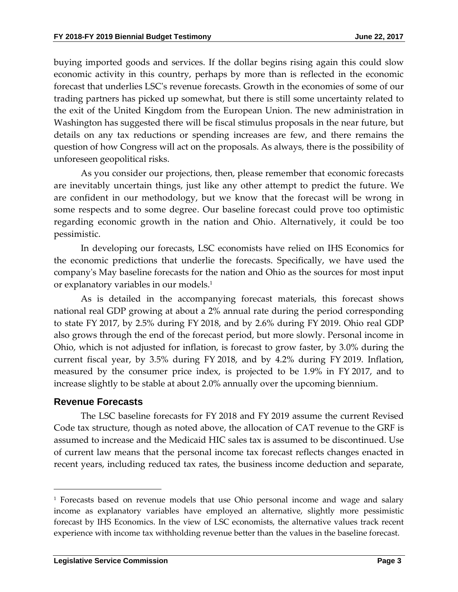buying imported goods and services. If the dollar begins rising again this could slow economic activity in this country, perhaps by more than is reflected in the economic forecast that underlies LSC's revenue forecasts. Growth in the economies of some of our trading partners has picked up somewhat, but there is still some uncertainty related to the exit of the United Kingdom from the European Union. The new administration in Washington has suggested there will be fiscal stimulus proposals in the near future, but details on any tax reductions or spending increases are few, and there remains the question of how Congress will act on the proposals. As always, there is the possibility of unforeseen geopolitical risks.

As you consider our projections, then, please remember that economic forecasts are inevitably uncertain things, just like any other attempt to predict the future. We are confident in our methodology, but we know that the forecast will be wrong in some respects and to some degree. Our baseline forecast could prove too optimistic regarding economic growth in the nation and Ohio. Alternatively, it could be too pessimistic.

In developing our forecasts, LSC economists have relied on IHS Economics for the economic predictions that underlie the forecasts. Specifically, we have used the company's May baseline forecasts for the nation and Ohio as the sources for most input or explanatory variables in our models.<sup>1</sup>

As is detailed in the accompanying forecast materials, this forecast shows national real GDP growing at about a 2% annual rate during the period corresponding to state FY 2017, by 2.5% during FY 2018, and by 2.6% during FY 2019. Ohio real GDP also grows through the end of the forecast period, but more slowly. Personal income in Ohio, which is not adjusted for inflation, is forecast to grow faster, by 3.0% during the current fiscal year, by 3.5% during FY 2018, and by 4.2% during FY 2019. Inflation, measured by the consumer price index, is projected to be 1.9% in FY 2017, and to increase slightly to be stable at about 2.0% annually over the upcoming biennium.

#### **Revenue Forecasts**

 $\overline{a}$ 

The LSC baseline forecasts for FY 2018 and FY 2019 assume the current Revised Code tax structure, though as noted above, the allocation of CAT revenue to the GRF is assumed to increase and the Medicaid HIC sales tax is assumed to be discontinued. Use of current law means that the personal income tax forecast reflects changes enacted in recent years, including reduced tax rates, the business income deduction and separate,

<sup>1</sup> Forecasts based on revenue models that use Ohio personal income and wage and salary income as explanatory variables have employed an alternative, slightly more pessimistic forecast by IHS Economics. In the view of LSC economists, the alternative values track recent experience with income tax withholding revenue better than the values in the baseline forecast.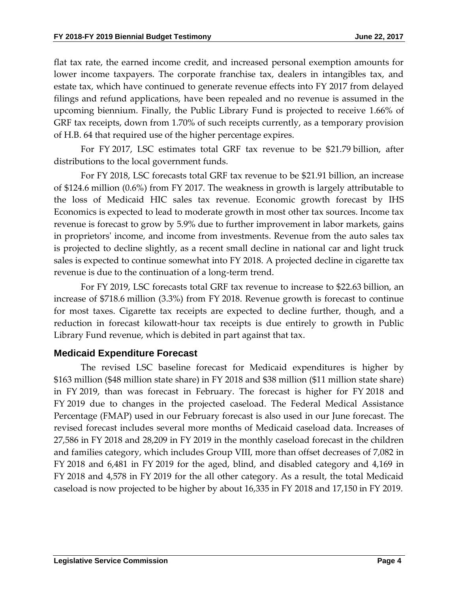flat tax rate, the earned income credit, and increased personal exemption amounts for lower income taxpayers. The corporate franchise tax, dealers in intangibles tax, and estate tax, which have continued to generate revenue effects into FY 2017 from delayed filings and refund applications, have been repealed and no revenue is assumed in the upcoming biennium. Finally, the Public Library Fund is projected to receive 1.66% of GRF tax receipts, down from 1.70% of such receipts currently, as a temporary provision of H.B. 64 that required use of the higher percentage expires.

For FY 2017, LSC estimates total GRF tax revenue to be \$21.79 billion, after distributions to the local government funds.

For FY 2018, LSC forecasts total GRF tax revenue to be \$21.91 billion, an increase of \$124.6 million (0.6%) from FY 2017. The weakness in growth is largely attributable to the loss of Medicaid HIC sales tax revenue. Economic growth forecast by IHS Economics is expected to lead to moderate growth in most other tax sources. Income tax revenue is forecast to grow by 5.9% due to further improvement in labor markets, gains in proprietors' income, and income from investments. Revenue from the auto sales tax is projected to decline slightly, as a recent small decline in national car and light truck sales is expected to continue somewhat into FY 2018. A projected decline in cigarette tax revenue is due to the continuation of a long-term trend.

For FY 2019, LSC forecasts total GRF tax revenue to increase to \$22.63 billion, an increase of \$718.6 million (3.3%) from FY 2018. Revenue growth is forecast to continue for most taxes. Cigarette tax receipts are expected to decline further, though, and a reduction in forecast kilowatt-hour tax receipts is due entirely to growth in Public Library Fund revenue, which is debited in part against that tax.

#### **Medicaid Expenditure Forecast**

The revised LSC baseline forecast for Medicaid expenditures is higher by \$163 million (\$48 million state share) in FY 2018 and \$38 million (\$11 million state share) in FY 2019, than was forecast in February. The forecast is higher for FY 2018 and FY 2019 due to changes in the projected caseload. The Federal Medical Assistance Percentage (FMAP) used in our February forecast is also used in our June forecast. The revised forecast includes several more months of Medicaid caseload data. Increases of 27,586 in FY 2018 and 28,209 in FY 2019 in the monthly caseload forecast in the children and families category, which includes Group VIII, more than offset decreases of 7,082 in FY 2018 and 6,481 in FY 2019 for the aged, blind, and disabled category and 4,169 in FY 2018 and 4,578 in FY 2019 for the all other category. As a result, the total Medicaid caseload is now projected to be higher by about 16,335 in FY 2018 and 17,150 in FY 2019.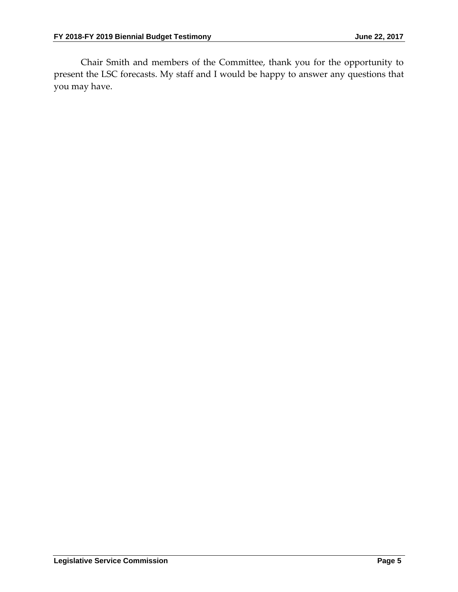Chair Smith and members of the Committee, thank you for the opportunity to present the LSC forecasts. My staff and I would be happy to answer any questions that you may have.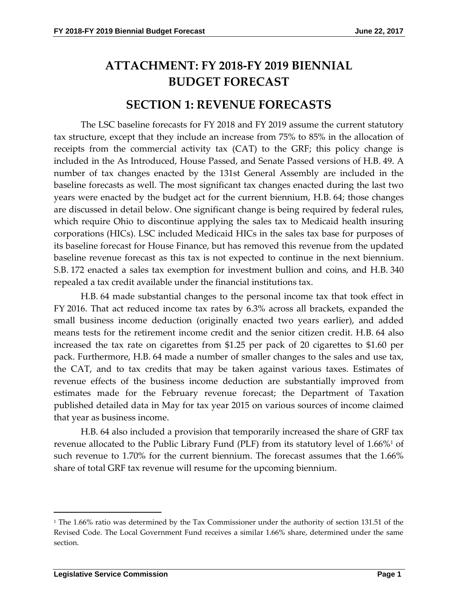# **ATTACHMENT: FY 2018-FY 2019 BIENNIAL BUDGET FORECAST**

## **SECTION 1: REVENUE FORECASTS**

The LSC baseline forecasts for FY 2018 and FY 2019 assume the current statutory tax structure, except that they include an increase from 75% to 85% in the allocation of receipts from the commercial activity tax (CAT) to the GRF; this policy change is included in the As Introduced, House Passed, and Senate Passed versions of H.B. 49. A number of tax changes enacted by the 131st General Assembly are included in the baseline forecasts as well. The most significant tax changes enacted during the last two years were enacted by the budget act for the current biennium, H.B. 64; those changes are discussed in detail below. One significant change is being required by federal rules, which require Ohio to discontinue applying the sales tax to Medicaid health insuring corporations (HICs). LSC included Medicaid HICs in the sales tax base for purposes of its baseline forecast for House Finance, but has removed this revenue from the updated baseline revenue forecast as this tax is not expected to continue in the next biennium. S.B. 172 enacted a sales tax exemption for investment bullion and coins, and H.B. 340 repealed a tax credit available under the financial institutions tax.

H.B. 64 made substantial changes to the personal income tax that took effect in FY 2016. That act reduced income tax rates by 6.3% across all brackets, expanded the small business income deduction (originally enacted two years earlier), and added means tests for the retirement income credit and the senior citizen credit. H.B. 64 also increased the tax rate on cigarettes from \$1.25 per pack of 20 cigarettes to \$1.60 per pack. Furthermore, H.B. 64 made a number of smaller changes to the sales and use tax, the CAT, and to tax credits that may be taken against various taxes. Estimates of revenue effects of the business income deduction are substantially improved from estimates made for the February revenue forecast; the Department of Taxation published detailed data in May for tax year 2015 on various sources of income claimed that year as business income.

H.B. 64 also included a provision that temporarily increased the share of GRF tax revenue allocated to the Public Library Fund (PLF) from its statutory level of  $1.66\%$ <sup>1</sup> of such revenue to 1.70% for the current biennium. The forecast assumes that the 1.66% share of total GRF tax revenue will resume for the upcoming biennium.

 $\overline{a}$ 

<sup>&</sup>lt;sup>1</sup> The 1.66% ratio was determined by the Tax Commissioner under the authority of section 131.51 of the Revised Code. The Local Government Fund receives a similar 1.66% share, determined under the same section.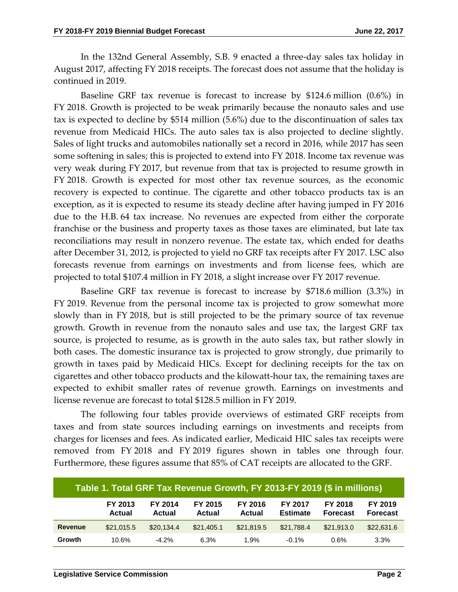In the 132nd General Assembly, S.B. 9 enacted a three-day sales tax holiday in August 2017, affecting FY 2018 receipts. The forecast does not assume that the holiday is continued in 2019.

Baseline GRF tax revenue is forecast to increase by \$124.6 million (0.6%) in FY 2018. Growth is projected to be weak primarily because the nonauto sales and use tax is expected to decline by \$514 million (5.6%) due to the discontinuation of sales tax revenue from Medicaid HICs. The auto sales tax is also projected to decline slightly. Sales of light trucks and automobiles nationally set a record in 2016, while 2017 has seen some softening in sales; this is projected to extend into FY 2018. Income tax revenue was very weak during FY 2017, but revenue from that tax is projected to resume growth in FY 2018. Growth is expected for most other tax revenue sources, as the economic recovery is expected to continue. The cigarette and other tobacco products tax is an exception, as it is expected to resume its steady decline after having jumped in FY 2016 due to the H.B. 64 tax increase. No revenues are expected from either the corporate franchise or the business and property taxes as those taxes are eliminated, but late tax reconciliations may result in nonzero revenue. The estate tax, which ended for deaths after December 31, 2012, is projected to yield no GRF tax receipts after FY 2017. LSC also forecasts revenue from earnings on investments and from license fees, which are projected to total \$107.4 million in FY 2018, a slight increase over FY 2017 revenue.

Baseline GRF tax revenue is forecast to increase by \$718.6 million (3.3%) in FY 2019. Revenue from the personal income tax is projected to grow somewhat more slowly than in FY 2018, but is still projected to be the primary source of tax revenue growth. Growth in revenue from the nonauto sales and use tax, the largest GRF tax source, is projected to resume, as is growth in the auto sales tax, but rather slowly in both cases. The domestic insurance tax is projected to grow strongly, due primarily to growth in taxes paid by Medicaid HICs. Except for declining receipts for the tax on cigarettes and other tobacco products and the kilowatt-hour tax, the remaining taxes are expected to exhibit smaller rates of revenue growth. Earnings on investments and license revenue are forecast to total \$128.5 million in FY 2019.

The following four tables provide overviews of estimated GRF receipts from taxes and from state sources including earnings on investments and receipts from charges for licenses and fees. As indicated earlier, Medicaid HIC sales tax receipts were removed from FY 2018 and FY 2019 figures shown in tables one through four. Furthermore, these figures assume that 85% of CAT receipts are allocated to the GRF.

|                |                          |                   |                   |                          |                            | Table 1. Total GRF Tax Revenue Growth, FY 2013-FY 2019 (\$ in millions) |                            |
|----------------|--------------------------|-------------------|-------------------|--------------------------|----------------------------|-------------------------------------------------------------------------|----------------------------|
|                | FY 2013<br><b>Actual</b> | FY 2014<br>Actual | FY 2015<br>Actual | FY 2016<br><b>Actual</b> | FY 2017<br><b>Estimate</b> | FY 2018<br><b>Forecast</b>                                              | FY 2019<br><b>Forecast</b> |
| <b>Revenue</b> | \$21,015.5               | \$20,134.4        | \$21,405.1        | \$21.819.5               | \$21,788.4                 | \$21,913.0                                                              | \$22,631.6                 |
| Growth         | 10.6%                    | $-4.2\%$          | 6.3%              | 1.9%                     | $-0.1%$                    | 0.6%                                                                    | 3.3%                       |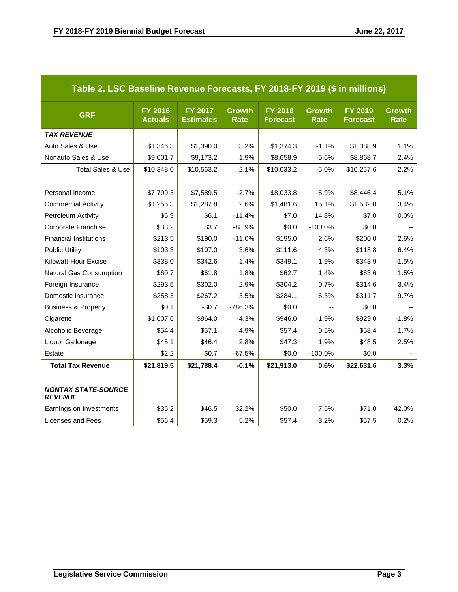| Table 2. LSC Baseline Revenue Forecasts, FY 2018-FY 2019 (\$ in millions) |                                  |                             |                       |                                   |                       |                                   |                              |
|---------------------------------------------------------------------------|----------------------------------|-----------------------------|-----------------------|-----------------------------------|-----------------------|-----------------------------------|------------------------------|
| <b>GRF</b>                                                                | <b>FY 2016</b><br><b>Actuals</b> | FY 2017<br><b>Estimates</b> | <b>Growth</b><br>Rate | <b>FY 2018</b><br><b>Forecast</b> | <b>Growth</b><br>Rate | <b>FY 2019</b><br><b>Forecast</b> | <b>Growth</b><br><b>Rate</b> |
| <b>TAX REVENUE</b>                                                        |                                  |                             |                       |                                   |                       |                                   |                              |
| Auto Sales & Use                                                          | \$1,346.3                        | \$1,390.0                   | 3.2%                  | \$1,374.3                         | $-1.1%$               | \$1,388.9                         | 1.1%                         |
| Nonauto Sales & Use                                                       | \$9,001.7                        | \$9,173.2                   | 1.9%                  | \$8,658.9                         | $-5.6%$               | \$8,868.7                         | 2.4%                         |
| <b>Total Sales &amp; Use</b>                                              | \$10,348.0                       | \$10,563.2                  | 2.1%                  | \$10,033.2                        | $-5.0%$               | \$10,257.6                        | 2.2%                         |
|                                                                           |                                  |                             |                       |                                   |                       |                                   |                              |
| Personal Income                                                           | \$7,799.3                        | \$7,589.5                   | $-2.7%$               | \$8,033.8                         | 5.9%                  | \$8,446.4                         | 5.1%                         |
| <b>Commercial Activity</b>                                                | \$1,255.3                        | \$1,287.8                   | 2.6%                  | \$1,481.6                         | 15.1%                 | \$1,532.0                         | 3.4%                         |
| Petroleum Activity                                                        | \$6.9                            | \$6.1                       | $-11.4%$              | \$7.0                             | 14.8%                 | \$7.0                             | 0.0%                         |
| Corporate Franchise                                                       | \$33.2                           | \$3.7                       | $-88.9%$              | \$0.0                             | $-100.0%$             | \$0.0                             |                              |
| <b>Financial Institutions</b>                                             | \$213.5                          | \$190.0                     | $-11.0%$              | \$195.0                           | 2.6%                  | \$200.0                           | 2.6%                         |
| <b>Public Utility</b>                                                     | \$103.3                          | \$107.0                     | 3.6%                  | \$111.6                           | 4.3%                  | \$118.8                           | 6.4%                         |
| Kilowatt-Hour Excise                                                      | \$338.0                          | \$342.6                     | 1.4%                  | \$349.1                           | 1.9%                  | \$343.9                           | $-1.5%$                      |
| <b>Natural Gas Consumption</b>                                            | \$60.7                           | \$61.8                      | 1.8%                  | \$62.7                            | 1.4%                  | \$63.6                            | 1.5%                         |
| Foreign Insurance                                                         | \$293.5                          | \$302.0                     | 2.9%                  | \$304.2                           | 0.7%                  | \$314.6                           | 3.4%                         |
| Domestic Insurance                                                        | \$258.3                          | \$267.2                     | 3.5%                  | \$284.1                           | 6.3%                  | \$311.7                           | 9.7%                         |
| <b>Business &amp; Property</b>                                            | \$0.1                            | $-$0.7$                     | -786.3%               | \$0.0                             |                       | \$0.0                             |                              |
| Cigarette                                                                 | \$1,007.6                        | \$964.0                     | $-4.3%$               | \$946.0                           | $-1.9%$               | \$929.0                           | $-1.8%$                      |
| Alcoholic Beverage                                                        | \$54.4                           | \$57.1                      | 4.9%                  | \$57.4                            | 0.5%                  | \$58.4                            | 1.7%                         |
| Liquor Gallonage                                                          | \$45.1                           | \$46.4                      | 2.8%                  | \$47.3                            | 1.9%                  | \$48.5                            | 2.5%                         |
| Estate                                                                    | \$2.2                            | \$0.7                       | $-67.5%$              | \$0.0                             | $-100.0%$             | \$0.0                             | $\overline{\phantom{a}}$     |
| <b>Total Tax Revenue</b>                                                  | \$21,819.5                       | \$21,788.4                  | $-0.1%$               | \$21,913.0                        | 0.6%                  | \$22,631.6                        | 3.3%                         |
|                                                                           |                                  |                             |                       |                                   |                       |                                   |                              |
| <b>NONTAX STATE-SOURCE</b><br><b>REVENUE</b>                              |                                  |                             |                       |                                   |                       |                                   |                              |
| Earnings on Investments                                                   | \$35.2                           | \$46.5                      | 32.2%                 | \$50.0                            | 7.5%                  | \$71.0                            | 42.0%                        |
| Licenses and Fees                                                         | \$56.4                           | \$59.3                      | 5.2%                  | \$57.4                            | $-3.2%$               | \$57.5                            | 0.2%                         |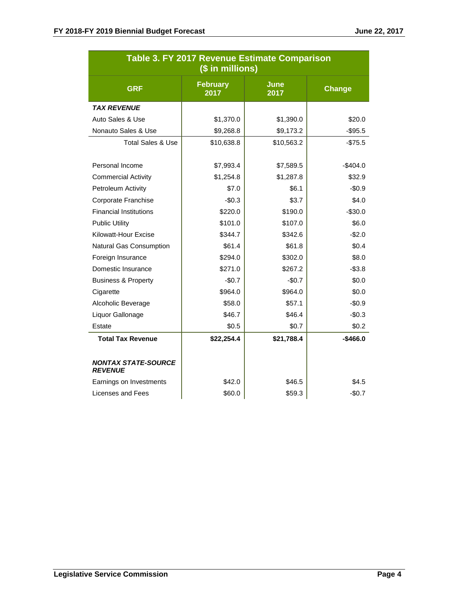|                                              | Table 3. FY 2017 Revenue Estimate Comparison<br>(\$ in millions) |                     |               |
|----------------------------------------------|------------------------------------------------------------------|---------------------|---------------|
| <b>GRF</b>                                   | <b>February</b><br>2017                                          | <b>June</b><br>2017 | <b>Change</b> |
| <b>TAX REVENUE</b>                           |                                                                  |                     |               |
| Auto Sales & Use                             | \$1,370.0                                                        | \$1,390.0           | \$20.0        |
| Nonauto Sales & Use                          | \$9,268.8                                                        | \$9,173.2           | $-$ \$95.5    |
| <b>Total Sales &amp; Use</b>                 | \$10,638.8                                                       | \$10,563.2          | $-$75.5$      |
| Personal Income                              | \$7,993.4                                                        | \$7,589.5           | $-$404.0$     |
| <b>Commercial Activity</b>                   | \$1,254.8                                                        | \$1,287.8           | \$32.9        |
| Petroleum Activity                           | \$7.0                                                            | \$6.1               | $-$0.9$       |
| Corporate Franchise                          | $-$0.3$                                                          | \$3.7               | \$4.0         |
| <b>Financial Institutions</b>                | \$220.0                                                          | \$190.0             | $-$30.0$      |
| <b>Public Utility</b>                        | \$101.0                                                          | \$107.0             | \$6.0         |
| Kilowatt-Hour Excise                         | \$344.7                                                          | \$342.6             | $-$2.0$       |
| Natural Gas Consumption                      | \$61.4                                                           | \$61.8              | \$0.4         |
| Foreign Insurance                            | \$294.0                                                          | \$302.0             | \$8.0         |
| Domestic Insurance                           | \$271.0                                                          | \$267.2             | $-$ \$3.8     |
| <b>Business &amp; Property</b>               | $-$0.7$                                                          | $-$0.7$             | \$0.0         |
| Cigarette                                    | \$964.0                                                          | \$964.0             | \$0.0         |
| Alcoholic Beverage                           | \$58.0                                                           | \$57.1              | $-$0.9$       |
| Liquor Gallonage                             | \$46.7                                                           | \$46.4              | $-$0.3$       |
| Estate                                       | \$0.5                                                            | \$0.7               | \$0.2\$       |
| <b>Total Tax Revenue</b>                     | \$22,254.4                                                       | \$21,788.4          | $-$466.0$     |
| <b>NONTAX STATE-SOURCE</b><br><b>REVENUE</b> |                                                                  |                     |               |
| Earnings on Investments                      | \$42.0                                                           | \$46.5              | \$4.5         |
| Licenses and Fees                            | \$60.0                                                           | \$59.3              | $-$0.7$       |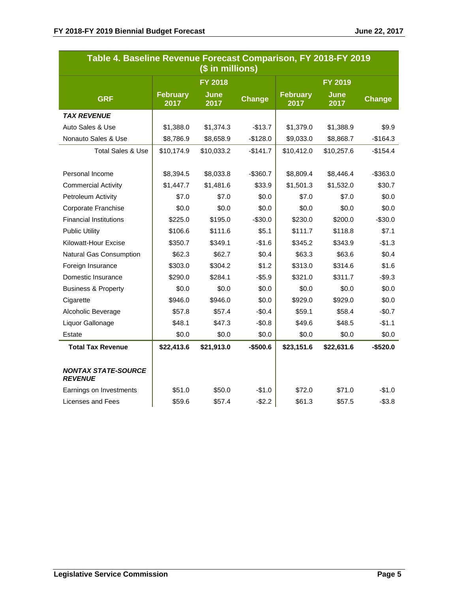| Table 4. Baseline Revenue Forecast Comparison, FY 2018-FY 2019 |                         | (\$ in millions)    |           |                         |                     |               |
|----------------------------------------------------------------|-------------------------|---------------------|-----------|-------------------------|---------------------|---------------|
|                                                                |                         | <b>FY 2018</b>      |           |                         | <b>FY 2019</b>      |               |
| <b>GRF</b>                                                     | <b>February</b><br>2017 | <b>June</b><br>2017 | Change    | <b>February</b><br>2017 | <b>June</b><br>2017 | <b>Change</b> |
| <b>TAX REVENUE</b>                                             |                         |                     |           |                         |                     |               |
| Auto Sales & Use                                               | \$1,388.0               | \$1,374.3           | $-$13.7$  | \$1,379.0               | \$1,388.9           | \$9.9         |
| Nonauto Sales & Use                                            | \$8,786.9               | \$8,658.9           | $-$128.0$ | \$9,033.0               | \$8,868.7           | $-$164.3$     |
| <b>Total Sales &amp; Use</b>                                   | \$10,174.9              | \$10,033.2          | $-$141.7$ | \$10,412.0              | \$10,257.6          | $-$154.4$     |
|                                                                |                         |                     |           |                         |                     |               |
| Personal Income                                                | \$8,394.5               | \$8,033.8           | $-$360.7$ | \$8,809.4               | \$8,446.4           | $-$ \$363.0   |
| <b>Commercial Activity</b>                                     | \$1,447.7               | \$1,481.6           | \$33.9    | \$1,501.3               | \$1,532.0           | \$30.7        |
| Petroleum Activity                                             | \$7.0                   | \$7.0               | \$0.0     | \$7.0                   | \$7.0               | \$0.0         |
| Corporate Franchise                                            | \$0.0                   | \$0.0               | \$0.0     | \$0.0                   | \$0.0               | \$0.0         |
| <b>Financial Institutions</b>                                  | \$225.0                 | \$195.0             | $-$30.0$  | \$230.0                 | \$200.0             | $-$30.0$      |
| <b>Public Utility</b>                                          | \$106.6                 | \$111.6             | \$5.1     | \$111.7                 | \$118.8             | \$7.1         |
| Kilowatt-Hour Excise                                           | \$350.7                 | \$349.1             | $-$1.6$   | \$345.2                 | \$343.9             | $-$1.3$       |
| Natural Gas Consumption                                        | \$62.3                  | \$62.7              | \$0.4     | \$63.3                  | \$63.6              | \$0.4         |
| Foreign Insurance                                              | \$303.0                 | \$304.2             | \$1.2     | \$313.0                 | \$314.6             | \$1.6         |
| Domestic Insurance                                             | \$290.0                 | \$284.1             | $-$5.9$   | \$321.0                 | \$311.7             | $-$9.3$       |
| <b>Business &amp; Property</b>                                 | \$0.0                   | \$0.0               | \$0.0     | \$0.0                   | \$0.0               | \$0.0         |
| Cigarette                                                      | \$946.0                 | \$946.0             | \$0.0     | \$929.0                 | \$929.0             | \$0.0         |
| Alcoholic Beverage                                             | \$57.8                  | \$57.4              | $-$0.4$   | \$59.1                  | \$58.4              | $-$0.7$       |
| Liquor Gallonage                                               | \$48.1                  | \$47.3              | $-$0.8$   | \$49.6                  | \$48.5              | $-$1.1$       |
| Estate                                                         | \$0.0                   | \$0.0               | \$0.0     | \$0.0                   | \$0.0               | \$0.0         |
| <b>Total Tax Revenue</b>                                       | \$22,413.6              | \$21,913.0          | $-$500.6$ | \$23,151.6              | \$22,631.6          | $-$520.0$     |
| <b>NONTAX STATE-SOURCE</b><br><b>REVENUE</b>                   |                         |                     |           |                         |                     |               |
| Earnings on Investments                                        | \$51.0                  | \$50.0              | $-$1.0$   | \$72.0                  | \$71.0              | $-$1.0$       |
| Licenses and Fees                                              | \$59.6                  | \$57.4              | $-$2.2$   | \$61.3                  | \$57.5              | $-$3.8$       |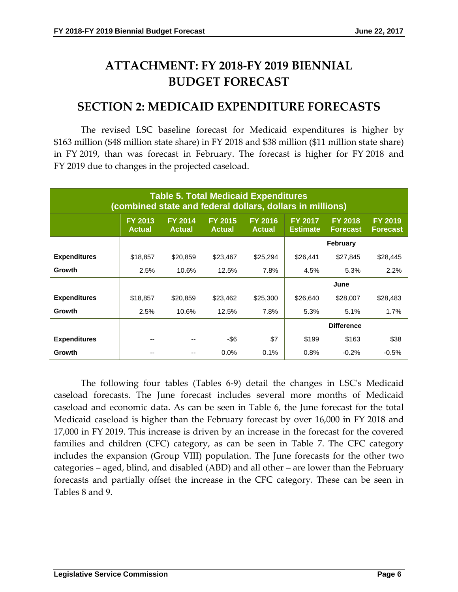# **ATTACHMENT: FY 2018-FY 2019 BIENNIAL BUDGET FORECAST**

### **SECTION 2: MEDICAID EXPENDITURE FORECASTS**

The revised LSC baseline forecast for Medicaid expenditures is higher by \$163 million (\$48 million state share) in FY 2018 and \$38 million (\$11 million state share) in FY 2019, than was forecast in February. The forecast is higher for FY 2018 and FY 2019 due to changes in the projected caseload.

|                     | (combined state and federal dollars, dollars in millions) |                                 |                                 | <b>Table 5. Total Medicaid Expenditures</b> |                                   |                                   |                                   |
|---------------------|-----------------------------------------------------------|---------------------------------|---------------------------------|---------------------------------------------|-----------------------------------|-----------------------------------|-----------------------------------|
|                     | <b>FY 2013</b><br><b>Actual</b>                           | <b>FY 2014</b><br><b>Actual</b> | <b>FY 2015</b><br><b>Actual</b> | <b>FY 2016</b><br><b>Actual</b>             | <b>FY 2017</b><br><b>Estimate</b> | <b>FY 2018</b><br><b>Forecast</b> | <b>FY 2019</b><br><b>Forecast</b> |
|                     |                                                           |                                 |                                 |                                             |                                   | <b>February</b>                   |                                   |
| <b>Expenditures</b> | \$18,857                                                  | \$20,859                        | \$23,467                        | \$25,294                                    | \$26,441                          | \$27,845                          | \$28,445                          |
| <b>Growth</b>       | 2.5%                                                      | 10.6%                           | 12.5%                           | 7.8%                                        | 4.5%                              | 5.3%                              | 2.2%                              |
|                     |                                                           |                                 |                                 |                                             |                                   | June                              |                                   |
| <b>Expenditures</b> | \$18,857                                                  | \$20,859                        | \$23,462                        | \$25,300                                    | \$26,640                          | \$28,007                          | \$28,483                          |
| <b>Growth</b>       | 2.5%                                                      | 10.6%                           | 12.5%                           | 7.8%                                        | 5.3%                              | 5.1%                              | 1.7%                              |
|                     |                                                           |                                 |                                 |                                             |                                   | <b>Difference</b>                 |                                   |
| <b>Expenditures</b> | --                                                        |                                 | -\$6                            | \$7                                         | \$199                             | \$163                             | \$38                              |
| Growth              |                                                           |                                 | 0.0%                            | 0.1%                                        | 0.8%                              | $-0.2%$                           | $-0.5%$                           |

The following four tables (Tables 6-9) detail the changes in LSC's Medicaid caseload forecasts. The June forecast includes several more months of Medicaid caseload and economic data. As can be seen in Table 6, the June forecast for the total Medicaid caseload is higher than the February forecast by over 16,000 in FY 2018 and 17,000 in FY 2019. This increase is driven by an increase in the forecast for the covered families and children (CFC) category, as can be seen in Table 7. The CFC category includes the expansion (Group VIII) population. The June forecasts for the other two categories – aged, blind, and disabled (ABD) and all other – are lower than the February forecasts and partially offset the increase in the CFC category. These can be seen in Tables 8 and 9.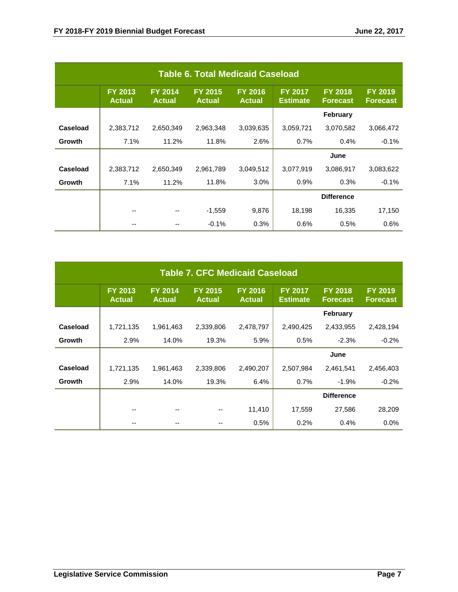|          |                          |                                 | <b>Table 6. Total Medicaid Caseload</b> |                                 |                                   |                                   |                                   |
|----------|--------------------------|---------------------------------|-----------------------------------------|---------------------------------|-----------------------------------|-----------------------------------|-----------------------------------|
|          | FY 2013<br><b>Actual</b> | <b>FY 2014</b><br><b>Actual</b> | <b>FY 2015</b><br><b>Actual</b>         | <b>FY 2016</b><br><b>Actual</b> | <b>FY 2017</b><br><b>Estimate</b> | <b>FY 2018</b><br><b>Forecast</b> | <b>FY 2019</b><br><b>Forecast</b> |
|          |                          |                                 |                                         |                                 |                                   | <b>February</b>                   |                                   |
| Caseload | 2,383,712                | 2,650,349                       | 2,963,348                               | 3,039,635                       | 3,059,721                         | 3,070,582                         | 3,066,472                         |
| Growth   | 7.1%                     | 11.2%                           | 11.8%                                   | 2.6%                            | 0.7%                              | 0.4%                              | $-0.1%$                           |
|          |                          |                                 |                                         |                                 |                                   | June                              |                                   |
| Caseload | 2,383,712                | 2,650,349                       | 2,961,789                               | 3,049,512                       | 3,077,919                         | 3,086,917                         | 3,083,622                         |
| Growth   | 7.1%                     | 11.2%                           | 11.8%                                   | 3.0%                            | 0.9%                              | 0.3%                              | $-0.1%$                           |
|          |                          |                                 |                                         |                                 |                                   | <b>Difference</b>                 |                                   |
|          | --                       | --                              | $-1,559$                                | 9,876                           | 18,198                            | 16,335                            | 17,150                            |
|          |                          |                                 | $-0.1%$                                 | 0.3%                            | 0.6%                              | 0.5%                              | 0.6%                              |

|               |                                 |                                 | <b>Table 7. CFC Medicaid Caseload</b> |                                 |                                   |                                   |                                   |
|---------------|---------------------------------|---------------------------------|---------------------------------------|---------------------------------|-----------------------------------|-----------------------------------|-----------------------------------|
|               | <b>FY 2013</b><br><b>Actual</b> | <b>FY 2014</b><br><b>Actual</b> | <b>FY 2015</b><br><b>Actual</b>       | <b>FY 2016</b><br><b>Actual</b> | <b>FY 2017</b><br><b>Estimate</b> | <b>FY 2018</b><br><b>Forecast</b> | <b>FY 2019</b><br><b>Forecast</b> |
|               |                                 |                                 |                                       |                                 |                                   | <b>February</b>                   |                                   |
| Caseload      | 1,721,135                       | 1,961,463                       | 2,339,806                             | 2,478,797                       | 2,490,425                         | 2,433,955                         | 2,428,194                         |
| <b>Growth</b> | 2.9%                            | 14.0%                           | 19.3%                                 | 5.9%                            | 0.5%                              | $-2.3%$                           | $-0.2%$                           |
|               |                                 |                                 |                                       |                                 |                                   | June                              |                                   |
| Caseload      | 1,721,135                       | 1,961,463                       | 2,339,806                             | 2,490,207                       | 2,507,984                         | 2,461,541                         | 2,456,403                         |
| <b>Growth</b> | 2.9%                            | 14.0%                           | 19.3%                                 | 6.4%                            | 0.7%                              | $-1.9%$                           | $-0.2%$                           |
|               |                                 |                                 |                                       |                                 |                                   | <b>Difference</b>                 |                                   |
|               | --                              | --                              |                                       | 11,410                          | 17,559                            | 27,586                            | 28,209                            |
|               |                                 |                                 |                                       | 0.5%                            | 0.2%                              | 0.4%                              | 0.0%                              |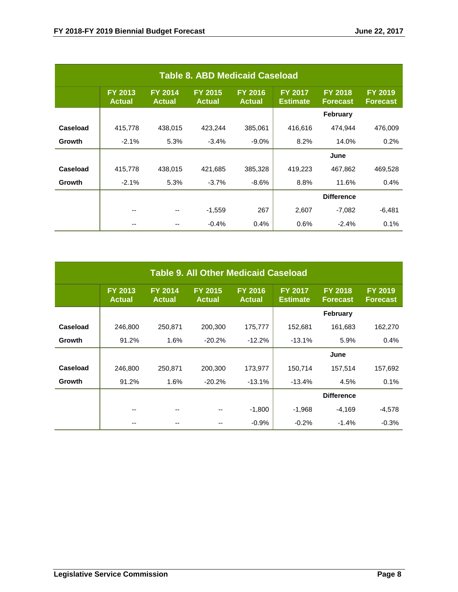|               |                          |                                 | <b>Table 8. ABD Medicaid Caseload</b> |                                 |                                   |                                   |                                   |
|---------------|--------------------------|---------------------------------|---------------------------------------|---------------------------------|-----------------------------------|-----------------------------------|-----------------------------------|
|               | FY 2013<br><b>Actual</b> | <b>FY 2014</b><br><b>Actual</b> | <b>FY 2015</b><br><b>Actual</b>       | <b>FY 2016</b><br><b>Actual</b> | <b>FY 2017</b><br><b>Estimate</b> | <b>FY 2018</b><br><b>Forecast</b> | <b>FY 2019</b><br><b>Forecast</b> |
|               |                          |                                 |                                       |                                 |                                   | <b>February</b>                   |                                   |
| Caseload      | 415,778                  | 438,015                         | 423,244                               | 385,061                         | 416,616                           | 474.944                           | 476,009                           |
| Growth        | $-2.1%$                  | 5.3%                            | $-3.4%$                               | $-9.0\%$                        | 8.2%                              | 14.0%                             | 0.2%                              |
|               |                          |                                 |                                       |                                 |                                   | June                              |                                   |
| Caseload      | 415,778                  | 438,015                         | 421,685                               | 385,328                         | 419,223                           | 467,862                           | 469,528                           |
| <b>Growth</b> | $-2.1%$                  | 5.3%                            | $-3.7%$                               | $-8.6%$                         | 8.8%                              | 11.6%                             | 0.4%                              |
|               |                          |                                 |                                       |                                 |                                   | <b>Difference</b>                 |                                   |
|               | --                       |                                 | $-1,559$                              | 267                             | 2,607                             | $-7,082$                          | $-6,481$                          |
|               |                          |                                 | $-0.4%$                               | 0.4%                            | 0.6%                              | $-2.4%$                           | 0.1%                              |

|          |                          |                                 | <b>Table 9. All Other Medicaid Caseload</b> |                                 |                                   |                                   |                                   |
|----------|--------------------------|---------------------------------|---------------------------------------------|---------------------------------|-----------------------------------|-----------------------------------|-----------------------------------|
|          | FY 2013<br><b>Actual</b> | <b>FY 2014</b><br><b>Actual</b> | <b>FY 2015</b><br><b>Actual</b>             | <b>FY 2016</b><br><b>Actual</b> | <b>FY 2017</b><br><b>Estimate</b> | <b>FY 2018</b><br><b>Forecast</b> | <b>FY 2019</b><br><b>Forecast</b> |
|          |                          |                                 |                                             |                                 |                                   | <b>February</b>                   |                                   |
| Caseload | 246,800                  | 250,871                         | 200,300                                     | 175,777                         | 152,681                           | 161,683                           | 162,270                           |
| Growth   | 91.2%                    | 1.6%                            | $-20.2%$                                    | $-12.2%$                        | $-13.1%$                          | 5.9%                              | 0.4%                              |
|          |                          |                                 |                                             |                                 |                                   | June                              |                                   |
| Caseload | 246,800                  | 250,871                         | 200,300                                     | 173,977                         | 150,714                           | 157,514                           | 157,692                           |
| Growth   | 91.2%                    | 1.6%                            | $-20.2%$                                    | $-13.1%$                        | $-13.4%$                          | 4.5%                              | 0.1%                              |
|          |                          |                                 |                                             |                                 |                                   | <b>Difference</b>                 |                                   |
|          |                          |                                 |                                             | $-1,800$                        | $-1,968$                          | $-4,169$                          | $-4,578$                          |
|          |                          |                                 |                                             | $-0.9%$                         | $-0.2%$                           | $-1.4%$                           | $-0.3%$                           |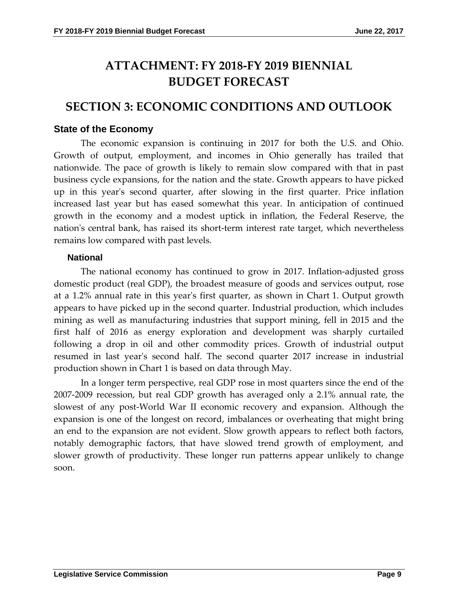# **ATTACHMENT: FY 2018-FY 2019 BIENNIAL BUDGET FORECAST**

## **SECTION 3: ECONOMIC CONDITIONS AND OUTLOOK**

#### **State of the Economy**

The economic expansion is continuing in 2017 for both the U.S. and Ohio. Growth of output, employment, and incomes in Ohio generally has trailed that nationwide. The pace of growth is likely to remain slow compared with that in past business cycle expansions, for the nation and the state. Growth appears to have picked up in this year's second quarter, after slowing in the first quarter. Price inflation increased last year but has eased somewhat this year. In anticipation of continued growth in the economy and a modest uptick in inflation, the Federal Reserve, the nation's central bank, has raised its short-term interest rate target, which nevertheless remains low compared with past levels.

#### **National**

The national economy has continued to grow in 2017. Inflation-adjusted gross domestic product (real GDP), the broadest measure of goods and services output, rose at a 1.2% annual rate in this year's first quarter, as shown in Chart 1. Output growth appears to have picked up in the second quarter. Industrial production, which includes mining as well as manufacturing industries that support mining, fell in 2015 and the first half of 2016 as energy exploration and development was sharply curtailed following a drop in oil and other commodity prices. Growth of industrial output resumed in last year's second half. The second quarter 2017 increase in industrial production shown in Chart 1 is based on data through May.

In a longer term perspective, real GDP rose in most quarters since the end of the 2007-2009 recession, but real GDP growth has averaged only a 2.1% annual rate, the slowest of any post-World War II economic recovery and expansion. Although the expansion is one of the longest on record, imbalances or overheating that might bring an end to the expansion are not evident. Slow growth appears to reflect both factors, notably demographic factors, that have slowed trend growth of employment, and slower growth of productivity. These longer run patterns appear unlikely to change soon.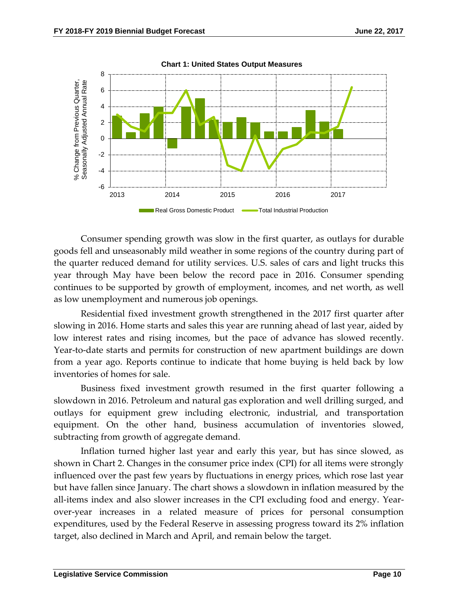

Consumer spending growth was slow in the first quarter, as outlays for durable goods fell and unseasonably mild weather in some regions of the country during part of the quarter reduced demand for utility services. U.S. sales of cars and light trucks this year through May have been below the record pace in 2016. Consumer spending continues to be supported by growth of employment, incomes, and net worth, as well as low unemployment and numerous job openings.

Residential fixed investment growth strengthened in the 2017 first quarter after slowing in 2016. Home starts and sales this year are running ahead of last year, aided by low interest rates and rising incomes, but the pace of advance has slowed recently. Year-to-date starts and permits for construction of new apartment buildings are down from a year ago. Reports continue to indicate that home buying is held back by low inventories of homes for sale.

Business fixed investment growth resumed in the first quarter following a slowdown in 2016. Petroleum and natural gas exploration and well drilling surged, and outlays for equipment grew including electronic, industrial, and transportation equipment. On the other hand, business accumulation of inventories slowed, subtracting from growth of aggregate demand.

Inflation turned higher last year and early this year, but has since slowed, as shown in Chart 2. Changes in the consumer price index (CPI) for all items were strongly influenced over the past few years by fluctuations in energy prices, which rose last year but have fallen since January. The chart shows a slowdown in inflation measured by the all-items index and also slower increases in the CPI excluding food and energy. Yearover-year increases in a related measure of prices for personal consumption expenditures, used by the Federal Reserve in assessing progress toward its 2% inflation target, also declined in March and April, and remain below the target.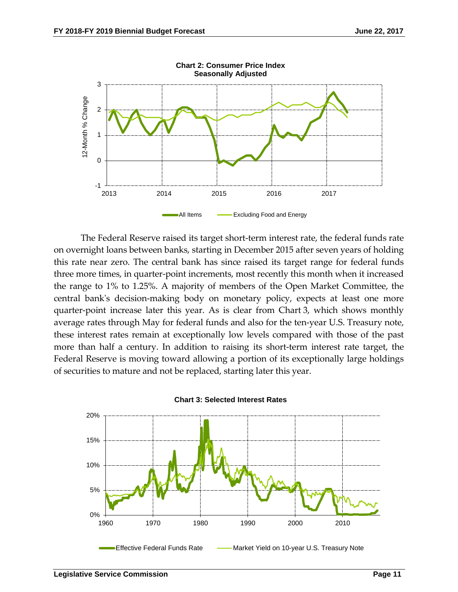

The Federal Reserve raised its target short-term interest rate, the federal funds rate on overnight loans between banks, starting in December 2015 after seven years of holding this rate near zero. The central bank has since raised its target range for federal funds three more times, in quarter-point increments, most recently this month when it increased the range to 1% to 1.25%. A majority of members of the Open Market Committee, the central bank's decision-making body on monetary policy, expects at least one more quarter-point increase later this year. As is clear from Chart 3, which shows monthly average rates through May for federal funds and also for the ten-year U.S. Treasury note, these interest rates remain at exceptionally low levels compared with those of the past more than half a century. In addition to raising its short-term interest rate target, the Federal Reserve is moving toward allowing a portion of its exceptionally large holdings of securities to mature and not be replaced, starting later this year.



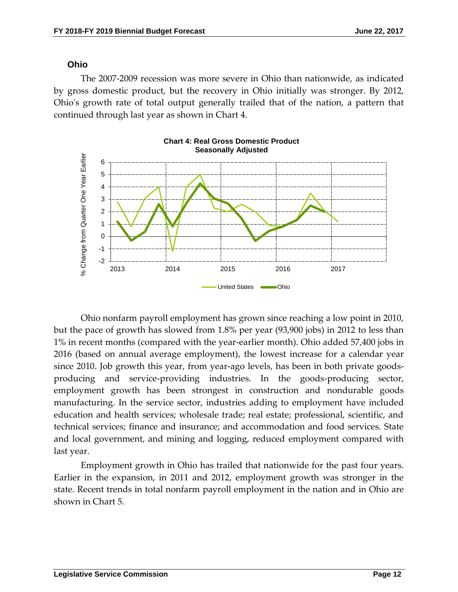#### **Ohio**

The 2007-2009 recession was more severe in Ohio than nationwide, as indicated by gross domestic product, but the recovery in Ohio initially was stronger. By 2012, Ohio's growth rate of total output generally trailed that of the nation, a pattern that continued through last year as shown in Chart 4.



Ohio nonfarm payroll employment has grown since reaching a low point in 2010, but the pace of growth has slowed from 1.8% per year (93,900 jobs) in 2012 to less than 1% in recent months (compared with the year-earlier month). Ohio added 57,400 jobs in 2016 (based on annual average employment), the lowest increase for a calendar year since 2010. Job growth this year, from year-ago levels, has been in both private goodsproducing and service-providing industries. In the goods-producing sector, employment growth has been strongest in construction and nondurable goods manufacturing. In the service sector, industries adding to employment have included education and health services; wholesale trade; real estate; professional, scientific, and technical services; finance and insurance; and accommodation and food services. State and local government, and mining and logging, reduced employment compared with last year.

Employment growth in Ohio has trailed that nationwide for the past four years. Earlier in the expansion, in 2011 and 2012, employment growth was stronger in the state. Recent trends in total nonfarm payroll employment in the nation and in Ohio are shown in Chart 5.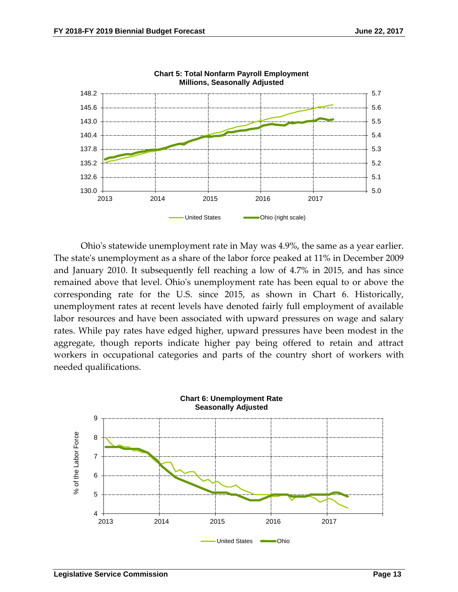

Ohio's statewide unemployment rate in May was 4.9%, the same as a year earlier. The state's unemployment as a share of the labor force peaked at 11% in December 2009 and January 2010. It subsequently fell reaching a low of 4.7% in 2015, and has since remained above that level. Ohio's unemployment rate has been equal to or above the corresponding rate for the U.S. since 2015, as shown in Chart 6. Historically, unemployment rates at recent levels have denoted fairly full employment of available labor resources and have been associated with upward pressures on wage and salary rates. While pay rates have edged higher, upward pressures have been modest in the aggregate, though reports indicate higher pay being offered to retain and attract workers in occupational categories and parts of the country short of workers with needed qualifications.

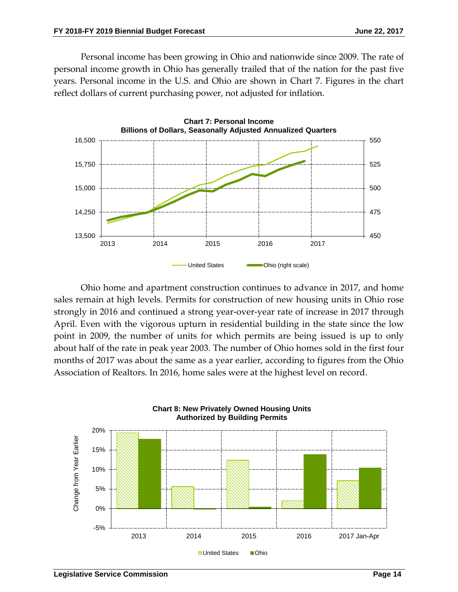Personal income has been growing in Ohio and nationwide since 2009. The rate of personal income growth in Ohio has generally trailed that of the nation for the past five years. Personal income in the U.S. and Ohio are shown in Chart 7. Figures in the chart reflect dollars of current purchasing power, not adjusted for inflation.



Ohio home and apartment construction continues to advance in 2017, and home sales remain at high levels. Permits for construction of new housing units in Ohio rose strongly in 2016 and continued a strong year-over-year rate of increase in 2017 through April. Even with the vigorous upturn in residential building in the state since the low point in 2009, the number of units for which permits are being issued is up to only about half of the rate in peak year 2003. The number of Ohio homes sold in the first four months of 2017 was about the same as a year earlier, according to figures from the Ohio Association of Realtors. In 2016, home sales were at the highest level on record.

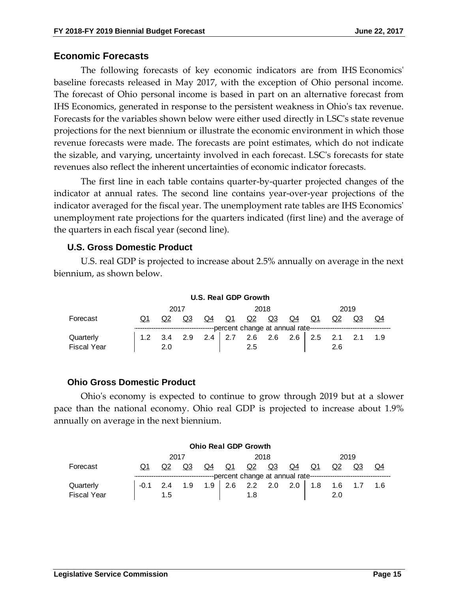#### **Economic Forecasts**

The following forecasts of key economic indicators are from IHS Economics' baseline forecasts released in May 2017, with the exception of Ohio personal income. The forecast of Ohio personal income is based in part on an alternative forecast from IHS Economics, generated in response to the persistent weakness in Ohio's tax revenue. Forecasts for the variables shown below were either used directly in LSC's state revenue projections for the next biennium or illustrate the economic environment in which those revenue forecasts were made. The forecasts are point estimates, which do not indicate the sizable, and varying, uncertainty involved in each forecast. LSC's forecasts for state revenues also reflect the inherent uncertainties of economic indicator forecasts.

The first line in each table contains quarter-by-quarter projected changes of the indicator at annual rates. The second line contains year-over-year projections of the indicator averaged for the fiscal year. The unemployment rate tables are IHS Economics' unemployment rate projections for the quarters indicated (first line) and the average of the quarters in each fiscal year (second line).

#### **U.S. Gross Domestic Product**

U.S. real GDP is projected to increase about 2.5% annually on average in the next biennium, as shown below.

**U.S. Real GDP Growth**

|                    | <b>U.S. Real GDP Growth</b> |           |     |       |     |           |           |           |           |     |    |       |
|--------------------|-----------------------------|-----------|-----|-------|-----|-----------|-----------|-----------|-----------|-----|----|-------|
|                    | 2017<br>2018<br>2019        |           |     |       |     |           |           |           |           |     |    |       |
| Forecast           |                             | <u>Q2</u> | Q3  | $Q_4$ | Q1  | <u>Q2</u> | <u>Q3</u> | <u>Q4</u> | <u>Q1</u> | Q2  | Q3 | $Q_4$ |
|                    |                             |           |     |       |     |           |           |           |           |     |    |       |
| Quarterly          |                             | 3.4       | 2.9 | 2.4   | 2.7 | 2.6       | 2.6       | 2.6       | 2.5       |     |    | 1.9   |
| <b>Fiscal Year</b> |                             | 2.0       |     |       |     | 2.5       |           |           |           | 2.6 |    |       |

#### **Ohio Gross Domestic Product**

Ohio's economy is expected to continue to grow through 2019 but at a slower pace than the national economy. Ohio real GDP is projected to increase about 1.9% annually on average in the next biennium.

|                    | <b>Ohio Real GDP Growth</b> |           |       |       |                |     |           |           |           |     |    |       |
|--------------------|-----------------------------|-----------|-------|-------|----------------|-----|-----------|-----------|-----------|-----|----|-------|
|                    | 2017<br>2019<br>2018        |           |       |       |                |     |           |           |           |     |    |       |
| Forecast           | O1                          | <u>Q2</u> | $Q_3$ | $Q_4$ | Q <sub>1</sub> | Q2  | <u>Q3</u> | <u>Q4</u> | <u>Q1</u> | Q2  | Q3 | $Q_4$ |
|                    |                             |           |       |       |                |     |           |           |           |     |    |       |
| Quarterly          |                             | 2.4       |       | . . 9 | 2.6            | 2.2 | 2.0       | 2.0       |           | 6،، |    | 1.6   |
| <b>Fiscal Year</b> |                             | 1.5       |       |       |                | 1.8 |           |           |           | 2.0 |    |       |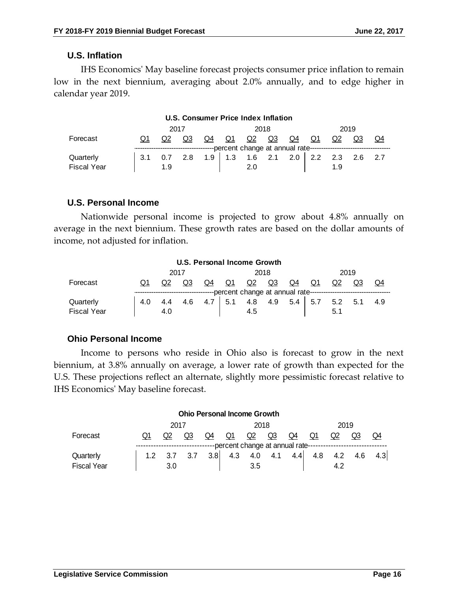#### **U.S. Inflation**

IHS Economics' May baseline forecast projects consumer price inflation to remain low in the next biennium, averaging about 2.0% annually, and to edge higher in calendar year 2019.

#### **U.S. Consumer Price Index Inflation** 2017 2018 2019 Forecast Q1 Q2 Q3 Q4 Q1 Q2 Q3 Q4 Q1 Q2 Q3 Q4 -percent change at annual rate-Quarterly 3.1 0.7 2.8 1.9 1.3 1.6 2.1 2.0 2.2 2.3 2.6 2.7 Fiscal Year  $\begin{array}{|c|c|c|c|c|c|} \hline \text{F} & \text{F} & \text{F} & \text{F} & \text{F} \\ \hline \end{array}$

#### **U.S. Personal Income**

Nationwide personal income is projected to grow about 4.8% annually on average in the next biennium. These growth rates are based on the dollar amounts of income, not adjusted for inflation.

|                    | <b>U.S. Personal Income Growth</b> |           |           |           |              |     |           |           |            |     |     |            |  |
|--------------------|------------------------------------|-----------|-----------|-----------|--------------|-----|-----------|-----------|------------|-----|-----|------------|--|
|                    | 2017                               |           |           |           |              |     | 2018      | 2019      |            |     |     |            |  |
| Forecast           |                                    | <u>Q2</u> | <u>Q3</u> | <u>Q4</u> | Q1           | Q2  | <u>Q3</u> | <u>Q4</u> | $\Omega$ 1 | Q2  | Q3  | $\Omega$ 4 |  |
|                    |                                    |           |           |           |              |     |           |           |            |     |     |            |  |
| Quarterly          | 4.0                                | 4.4       | 4.6       |           | $\sim$<br>J. | 4.8 | 4.9       | 5.4       | - 5.7      | 5.2 | 5.1 | 4.9        |  |
| <b>Fiscal Year</b> |                                    | 4.0       |           |           |              | 4.5 |           |           |            | 5.1 |     |            |  |

#### **Ohio Personal Income**

Income to persons who reside in Ohio also is forecast to grow in the next biennium, at 3.8% annually on average, a lower rate of growth than expected for the U.S. These projections reflect an alternate, slightly more pessimistic forecast relative to IHS Economics' May baseline forecast.

|                    |    |      |                |     | <b>Ohio Personal Income Growth</b> |           |           |           |                                                                                        |           |           |                |
|--------------------|----|------|----------------|-----|------------------------------------|-----------|-----------|-----------|----------------------------------------------------------------------------------------|-----------|-----------|----------------|
|                    |    | 2017 |                |     |                                    | 2018      |           |           |                                                                                        |           | 2019      |                |
| Forecast           | Q1 | Q2   | Q <sub>3</sub> | Q4  | Q1                                 | <u>Q2</u> | <u>Q3</u> | <u>Q4</u> | Q1                                                                                     | <u>Q2</u> | <u>Q3</u> | Q <sub>4</sub> |
|                    |    |      |                |     |                                    |           |           |           | ---------------------------percent change at annual rate------------------------------ |           |           |                |
| Quarterly          |    | ບ.ເ  |                | 3.8 | 4.3                                | 4.0       | 4.1       | 4.4       | 4.8                                                                                    | 4.2       | 4.6       | 4.3            |
| <b>Fiscal Year</b> |    | 3.0  |                |     |                                    | 3.5       |           |           |                                                                                        | 4.4       |           |                |